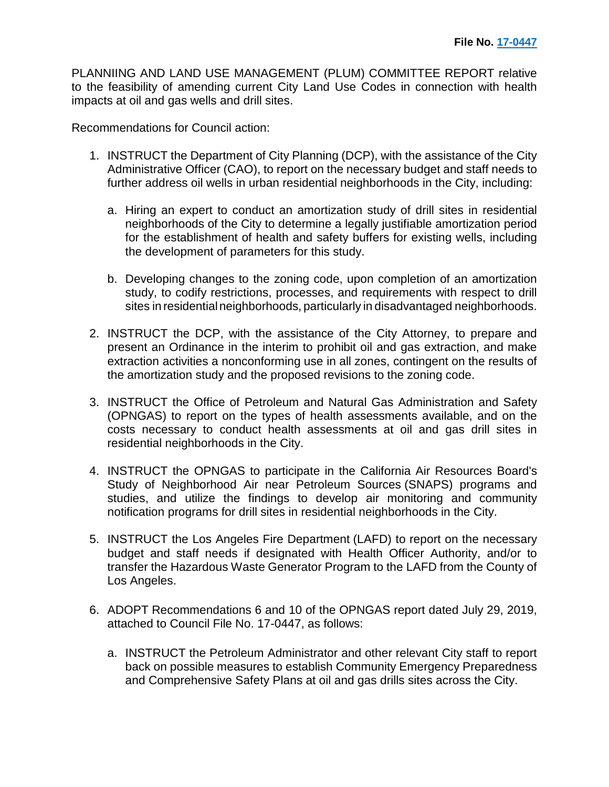PLANNIING AND LAND USE MANAGEMENT (PLUM) COMMITTEE REPORT relative to the feasibility of amending current City Land Use Codes in connection with health impacts at oil and gas wells and drill sites.

Recommendations for Council action:

- 1. INSTRUCT the Department of City Planning (DCP), with the assistance of the City Administrative Officer (CAO), to report on the necessary budget and staff needs to further address oil wells in urban residential neighborhoods in the City, including:
	- a. Hiring an expert to conduct an amortization study of drill sites in residential neighborhoods of the City to determine a legally justifiable amortization period for the establishment of health and safety buffers for existing wells, including the development of parameters for this study.
	- b. Developing changes to the zoning code, upon completion of an amortization study, to codify restrictions, processes, and requirements with respect to drill sites in residential neighborhoods, particularly in disadvantaged neighborhoods.
- 2. INSTRUCT the DCP, with the assistance of the City Attorney, to prepare and present an Ordinance in the interim to prohibit oil and gas extraction, and make extraction activities a nonconforming use in all zones, contingent on the results of the amortization study and the proposed revisions to the zoning code.
- 3. INSTRUCT the Office of Petroleum and Natural Gas Administration and Safety (OPNGAS) to report on the types of health assessments available, and on the costs necessary to conduct health assessments at oil and gas drill sites in residential neighborhoods in the City.
- 4. INSTRUCT the OPNGAS to participate in the California Air Resources Board's Study of Neighborhood Air near Petroleum Sources (SNAPS) programs and studies, and utilize the findings to develop air monitoring and community notification programs for drill sites in residential neighborhoods in the City.
- 5. INSTRUCT the Los Angeles Fire Department (LAFD) to report on the necessary budget and staff needs if designated with Health Officer Authority, and/or to transfer the Hazardous Waste Generator Program to the LAFD from the County of Los Angeles.
- 6. ADOPT Recommendations 6 and 10 of the OPNGAS report dated July 29, 2019, attached to Council File No. 17-0447, as follows:
	- a. INSTRUCT the Petroleum Administrator and other relevant City staff to report back on possible measures to establish Community Emergency Preparedness and Comprehensive Safety Plans at oil and gas drills sites across the City.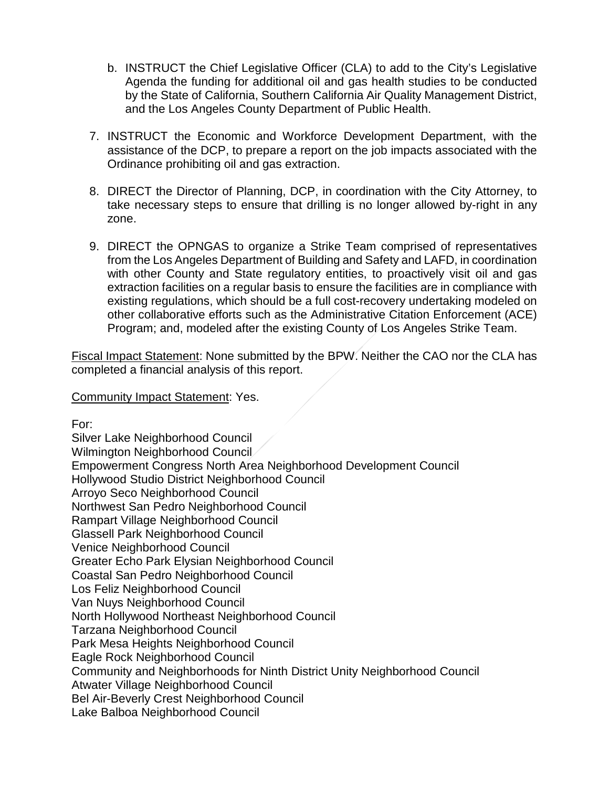- b. INSTRUCT the Chief Legislative Officer (CLA) to add to the City's Legislative Agenda the funding for additional oil and gas health studies to be conducted by the State of California, Southern California Air Quality Management District, and the Los Angeles County Department of Public Health.
- 7. INSTRUCT the Economic and Workforce Development Department, with the assistance of the DCP, to prepare a report on the job impacts associated with the Ordinance prohibiting oil and gas extraction.
- 8. DIRECT the Director of Planning, DCP, in coordination with the City Attorney, to take necessary steps to ensure that drilling is no longer allowed by-right in any zone.
- 9. DIRECT the OPNGAS to organize a Strike Team comprised of representatives from the Los Angeles Department of Building and Safety and LAFD, in coordination with other County and State regulatory entities, to proactively visit oil and gas extraction facilities on a regular basis to ensure the facilities are in compliance with existing regulations, which should be a full cost-recovery undertaking modeled on other collaborative efforts such as the Administrative Citation Enforcement (ACE) Program; and, modeled after the existing County of Los Angeles Strike Team.

Fiscal Impact Statement: None submitted by the BPW. Neither the CAO nor the CLA has completed a financial analysis of this report.

Community Impact Statement: Yes.

For:

Silver Lake Neighborhood Council Wilmington Neighborhood Council Empowerment Congress North Area Neighborhood Development Council Hollywood Studio District Neighborhood Council Arroyo Seco Neighborhood Council Northwest San Pedro Neighborhood Council Rampart Village Neighborhood Council Glassell Park Neighborhood Council Venice Neighborhood Council Greater Echo Park Elysian Neighborhood Council Coastal San Pedro Neighborhood Council Los Feliz Neighborhood Council Van Nuys Neighborhood Council North Hollywood Northeast Neighborhood Council Tarzana Neighborhood Council Park Mesa Heights Neighborhood Council Eagle Rock Neighborhood Council Community and Neighborhoods for Ninth District Unity Neighborhood Council Atwater Village Neighborhood Council Bel Air-Beverly Crest Neighborhood Council Lake Balboa Neighborhood Council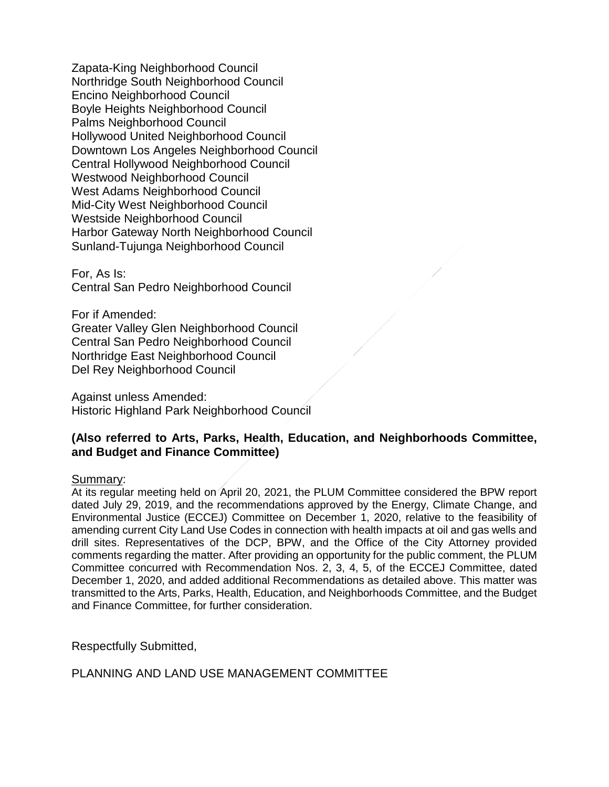Zapata-King Neighborhood Council Northridge South Neighborhood Council Encino Neighborhood Council Boyle Heights Neighborhood Council Palms Neighborhood Council Hollywood United Neighborhood Council Downtown Los Angeles Neighborhood Council Central Hollywood Neighborhood Council Westwood Neighborhood Council West Adams Neighborhood Council Mid-City West Neighborhood Council Westside Neighborhood Council Harbor Gateway North Neighborhood Council Sunland-Tujunga Neighborhood Council

For, As Is: Central San Pedro Neighborhood Council

For if Amended: Greater Valley Glen Neighborhood Council Central San Pedro Neighborhood Council Northridge East Neighborhood Council Del Rey Neighborhood Council

Against unless Amended: Historic Highland Park Neighborhood Council

## **(Also referred to Arts, Parks, Health, Education, and Neighborhoods Committee, and Budget and Finance Committee)**

## Summary:

At its regular meeting held on April 20, 2021, the PLUM Committee considered the BPW report dated July 29, 2019, and the recommendations approved by the Energy, Climate Change, and Environmental Justice (ECCEJ) Committee on December 1, 2020, relative to the feasibility of amending current City Land Use Codes in connection with health impacts at oil and gas wells and drill sites. Representatives of the DCP, BPW, and the Office of the City Attorney provided comments regarding the matter. After providing an opportunity for the public comment, the PLUM Committee concurred with Recommendation Nos. 2, 3, 4, 5, of the ECCEJ Committee, dated December 1, 2020, and added additional Recommendations as detailed above. This matter was transmitted to the Arts, Parks, Health, Education, and Neighborhoods Committee, and the Budget and Finance Committee, for further consideration.

Respectfully Submitted,

PLANNING AND LAND USE MANAGEMENT COMMITTEE